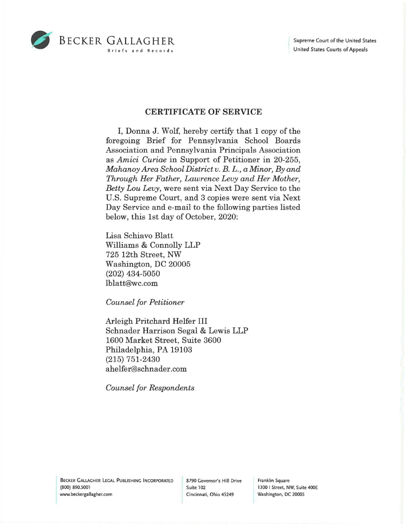

## **CERTIFICATE OF SERVICE**

I, Donna J. Wolf, hereby certify that 1 copy of the foregoing Brief for Pennsylvania School Boards Association and Pennsylvania Principals Association as *Amici Curiae* in Support of Petitioner in 20-255, *Mahanoy Area School District v. B. L., a Minor, By and Through Her Father, Lawrence Levy and Her Mother, Betty Lou Levy,* were sent via Next Day Service to the U.S. Supreme Court, and 3 copies were sent via Next Day Service and e-mail to the following parties listed below, this 1st day of October, 2020:

Lisa Schiavo Blatt Williams & Connolly LLP 725 12th Street, NW Washington, DC 20005 (202) 434-5050 lblatt@wc.com

*Counsel for Petitioner* 

Arleigh Pritchard Helfer III Schnader Harrison Segal & Lewis LLP 1600 Market Street, Suite 3600 Philadelphia, PA 19103 (215) 751-2430 ahelfer@schnader.com

*Counsel for Respondents* 

Franklin Square 1300 I Street, NW, Suite 400E Washington, DC 20005